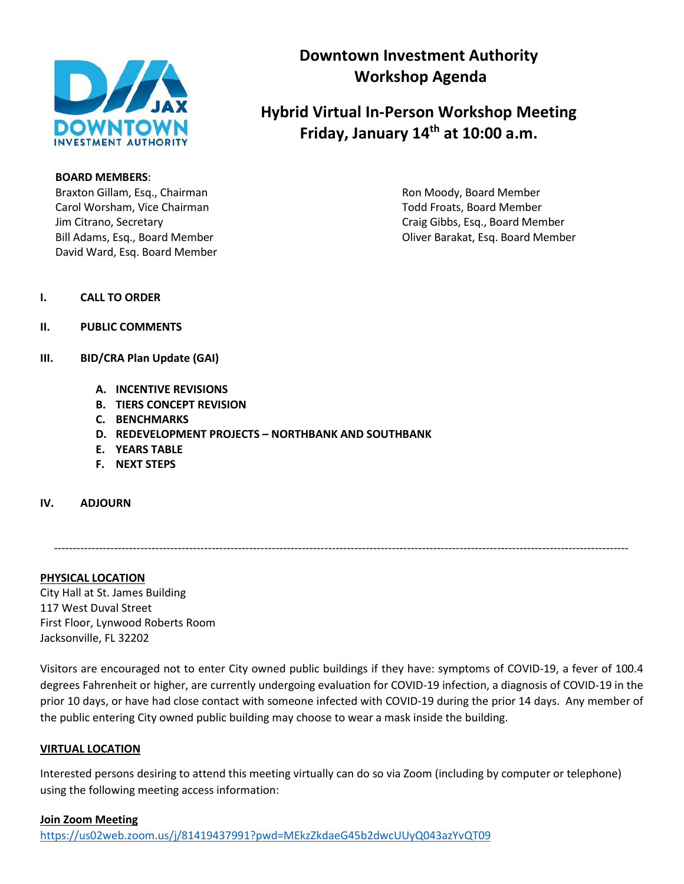

### **BOARD MEMBERS**:

Braxton Gillam, Esq., Chairman Ron Moody, Board Member Carol Worsham, Vice Chairman Total Americans Carol Todd Froats, Board Member David Ward, Esq. Board Member

## **Downtown Investment Authority Workshop Agenda**

# **Hybrid Virtual In-Person Workshop Meeting Friday, January 14th at 10:00 a.m.**

Jim Citrano, Secretary Craig Gibbs, Esq., Board Member Bill Adams, Esq., Board Member **Canadian Estate and Adams**, Esq. Board Member

### **I. CALL TO ORDER**

- **II. PUBLIC COMMENTS**
- **III. BID/CRA Plan Update (GAI)**
	- **A. INCENTIVE REVISIONS**
	- **B. TIERS CONCEPT REVISION**
	- **C. BENCHMARKS**
	- **D. REDEVELOPMENT PROJECTS – NORTHBANK AND SOUTHBANK**
	- **E. YEARS TABLE**
	- **F. NEXT STEPS**
- **IV. ADJOURN**

---------------------------------------------------------------------------------------------------------------------------------------------------------

**PHYSICAL LOCATION** City Hall at St. James Building 117 West Duval Street First Floor, Lynwood Roberts Room Jacksonville, FL 32202

Visitors are encouraged not to enter City owned public buildings if they have: symptoms of COVID-19, a fever of 100.4 degrees Fahrenheit or higher, are currently undergoing evaluation for COVID-19 infection, a diagnosis of COVID-19 in the prior 10 days, or have had close contact with someone infected with COVID-19 during the prior 14 days. Any member of the public entering City owned public building may choose to wear a mask inside the building.

### **VIRTUAL LOCATION**

Interested persons desiring to attend this meeting virtually can do so via Zoom (including by computer or telephone) using the following meeting access information: